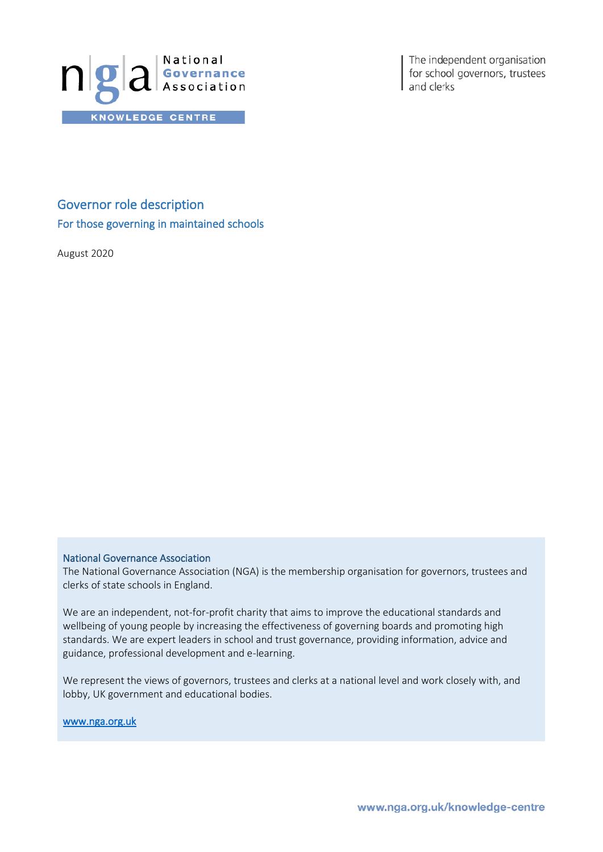

The independent organisation for school governors, trustees and clerks

Governor role description For those governing in maintained schools

August 2020

#### National Governance Association

The National Governance Association (NGA) is the membership organisation for governors, trustees and clerks of state schools in England.

We are an independent, not-for-profit charity that aims to improve the educational standards and wellbeing of young people by increasing the effectiveness of governing boards and promoting high standards. We are expert leaders in school and trust governance, providing information, advice and guidance, professional development and e-learning.

We represent the views of governors, trustees and clerks at a national level and work closely with, and lobby, UK government and educational bodies.

[www.nga.org.uk](http://www.nga.org.uk/)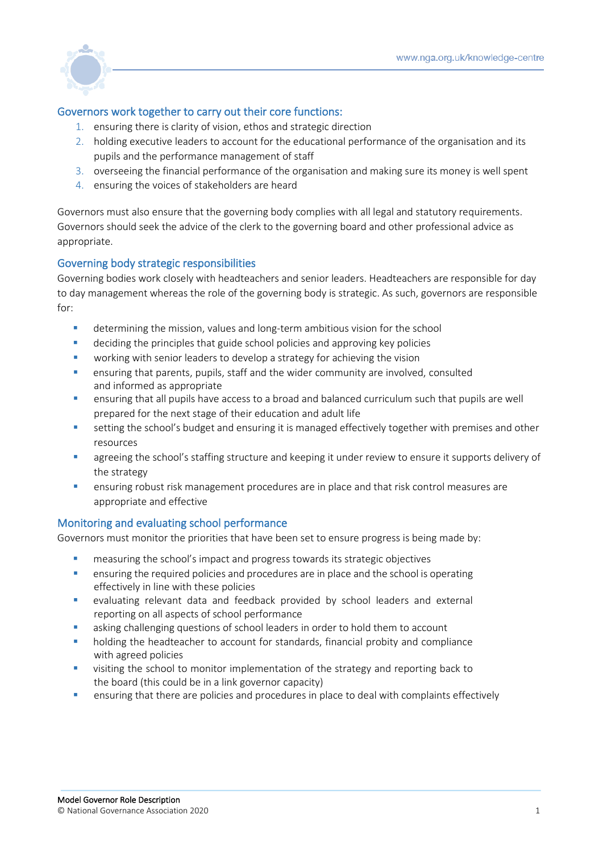

# Governors work together to carry out their core functions:

- 1. ensuring there is clarity of vision, ethos and strategic direction
- 2. holding executive leaders to account for the educational performance of the organisation and its pupils and the performance management of staff
- 3. overseeing the financial performance of the organisation and making sure its money is well spent
- 4. ensuring the voices of stakeholders are heard

Governors must also ensure that the governing body complies with all legal and statutory requirements. Governors should seek the advice of the clerk to the governing board and other professional advice as appropriate.

# Governing body strategic responsibilities

Governing bodies work closely with headteachers and senior leaders. Headteachers are responsible for day to day management whereas the role of the governing body is strategic. As such, governors are responsible  $for:$ 

- determining the mission, values and long-term ambitious vision for the school
- deciding the principles that guide school policies and approving key policies
- working with senior leaders to develop a strategy for achieving the vision
- **•** ensuring that parents, pupils, staff and the wider community are involved, consulted and informed as appropriate
- **E** ensuring that all pupils have access to a broad and balanced curriculum such that pupils are well prepared for the next stage of their education and adult life
- **E** setting the school's budget and ensuring it is managed effectively together with premises and other resources
- agreeing the school's staffing structure and keeping it under review to ensure it supports delivery of the strategy
- **E** ensuring robust risk management procedures are in place and that risk control measures are appropriate and effective

### Monitoring and evaluating school performance

Governors must monitor the priorities that have been set to ensure progress is being made by:

- measuring the school's impact and progress towards its strategic objectives
- **E** ensuring the required policies and procedures are in place and the school is operating effectively in line with these policies
- evaluating relevant data and feedback provided by school leaders and external reporting on all aspects of school performance
- **E** asking challenging questions of school leaders in order to hold them to account
- holding the headteacher to account for standards, financial probity and compliance with agreed policies
- **■** visiting the school to monitor implementation of the strategy and reporting back to the board (this could be in a link governor capacity)
- **•** ensuring that there are policies and procedures in place to deal with complaints effectively